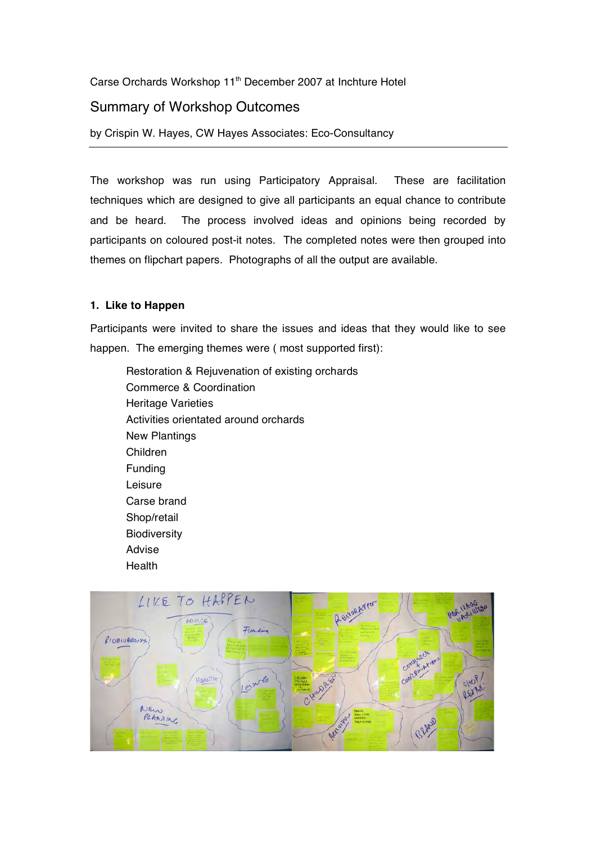Carse Orchards Workshop 11<sup>th</sup> December 2007 at Inchture Hotel

# Summary of Workshop Outcomes

by Crispin W. Hayes, CW Hayes Associates: Eco-Consultancy

The workshop was run using Participatory Appraisal. These are facilitation techniques which are designed to give all participants an equal chance to contribute and be heard. The process involved ideas and opinions being recorded by participants on coloured post-it notes. The completed notes were then grouped into themes on flipchart papers. Photographs of all the output are available.

# **1. Like to Happen**

Participants were invited to share the issues and ideas that they would like to see happen. The emerging themes were ( most supported first):

Restoration & Rejuvenation of existing orchards Commerce & Coordination Heritage Varieties Activities orientated around orchards New Plantings Children Funding Leisure Carse brand Shop/retail **Biodiversity** Advise **Health** 

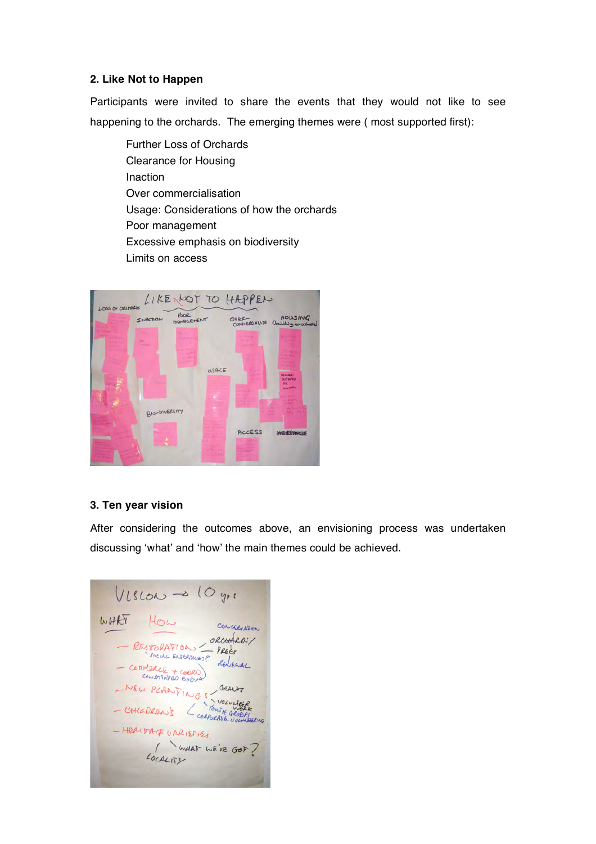### **2. Like Not to Happen**

Participants were invited to share the events that they would not like to see happening to the orchards. The emerging themes were ( most supported first):

Further Loss of Orchards Clearance for Housing Inaction Over commercialisation Usage: Considerations of how the orchards Poor management Excessive emphasis on biodiversity Limits on access



### **3. Ten year vision**

After considering the outcomes above, an envisioning process was undertaken discussing 'what' and 'how' the main themes could be achieved.

 $Vitslow \rightarrow 10$  yre WHAT HOW CONCERNATION RESTORATION ORCHARDS/<br>- RESTORATION PRESS - COMMERCE + COORD) - NEW PLANTINGS , GRANT - CHILDREN'S LOCALITER - HERITAGE UARIEFIES. LOCALITY WE'VE GOT ?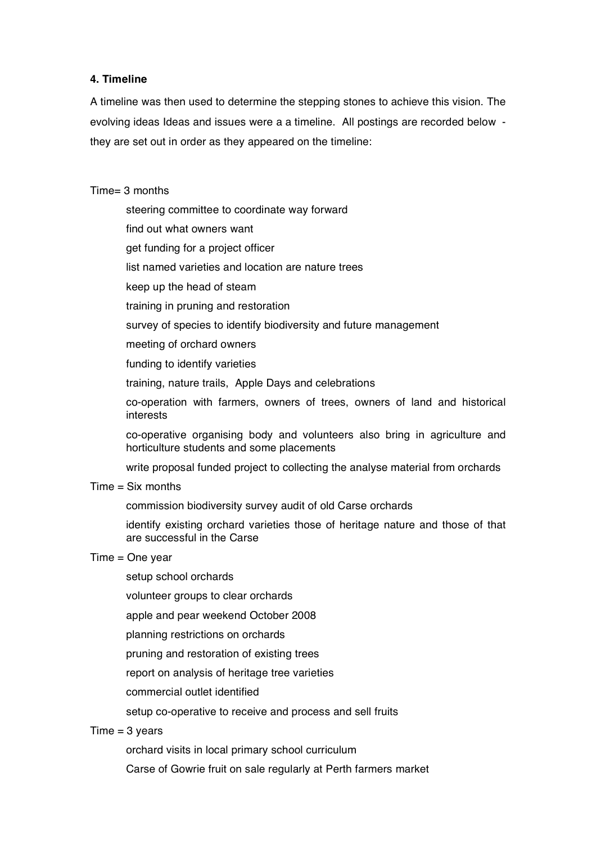# **4. Timeline**

A timeline was then used to determine the stepping stones to achieve this vision. The evolving ideas Ideas and issues were a a timeline. All postings are recorded below they are set out in order as they appeared on the timeline:

### Time= 3 months

- steering committee to coordinate way forward
- find out what owners want
- get funding for a project officer
- list named varieties and location are nature trees
- keep up the head of steam
- training in pruning and restoration
- survey of species to identify biodiversity and future management
- meeting of orchard owners
- funding to identify varieties
- training, nature trails, Apple Days and celebrations
- co-operation with farmers, owners of trees, owners of land and historical interests
- co-operative organising body and volunteers also bring in agriculture and horticulture students and some placements
- write proposal funded project to collecting the analyse material from orchards

#### $Time = Six months$

- commission biodiversity survey audit of old Carse orchards
- identify existing orchard varieties those of heritage nature and those of that are successful in the Carse

# Time = One year

- setup school orchards
- volunteer groups to clear orchards
- apple and pear weekend October 2008
- planning restrictions on orchards
- pruning and restoration of existing trees
- report on analysis of heritage tree varieties
- commercial outlet identified
- setup co-operative to receive and process and sell fruits

### $Time = 3 \text{ years}$

orchard visits in local primary school curriculum

Carse of Gowrie fruit on sale regularly at Perth farmers market